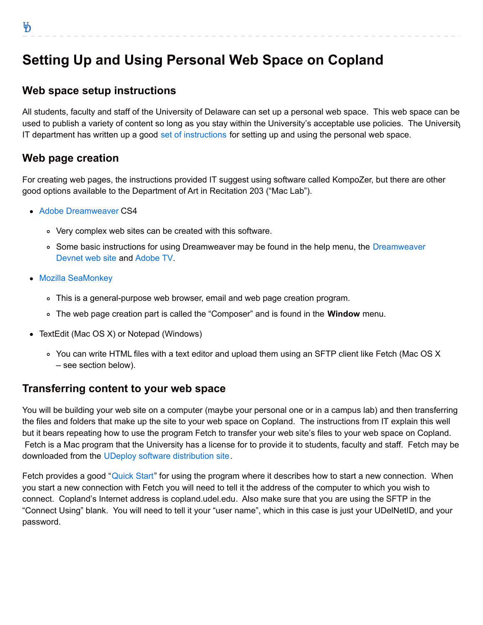# **Setting Up and Using Personal Web Space on Copland**

## **Web space setup instructions**

All students, faculty and staff of the University of Delaware can set up a personal web space. This web space can be used to publish a variety of content so long as you stay within the University's acceptable use policies. The University IT department has written up a good [set of instructions](http://www.udel.edu/it/help/web-development/how-publish-personal-web-page-university-delaware.html) for setting up and using the personal web space.

## **Web page creation**

For creating web pages, the instructions provided IT suggest using software called KompoZer, but there are other good options available to the Department of Art in Recitation 203 ("Mac Lab").

- [Adobe Dreamweaver](http://www.adobe.com/products/dreamweaver.html) CS4
	- Very complex web sites can be created with this software.
	- . [Some basic instructions for using Dreamweaver may be found in the help menu, the Dreamweaver](http://www.adobe.com/devnet/dreamweaver.html) Devnet web site and [Adobe TV](http://tv.adobe.com/show/learn-dreamweaver-cs4).
- [Mozilla SeaMonkey](http://www.seamonkey-project.org/)
	- This is a general-purpose web browser, email and web page creation program.
	- The web page creation part is called the "Composer" and is found in the **Window** menu.
- TextEdit (Mac OS X) or Notepad (Windows)
	- You can write HTML files with a text editor and upload them using an SFTP client like Fetch (Mac OS X – see section below).

#### **Transferring content to your web space**

You will be building your web site on a computer (maybe your personal one or in a campus lab) and then transferring the files and folders that make up the site to your web space on Copland. The instructions from IT explain this well but it bears repeating how to use the program Fetch to transfer your web site's files to your web space on Copland. Fetch is a Mac program that the University has a license for to provide it to students, faculty and staff. Fetch may be downloaded from the [UDeploy software distribution site](https://udeploy.udel.edu/Mac/Docs/fetch5.html).

Fetch provides a good "[Quick Start](http://fetchsoftworks.com/fetch/help/Contents/QuickGuide.html)" for using the program where it describes how to start a new connection. When you start a new connection with Fetch you will need to tell it the address of the computer to which you wish to connect. Copland's Internet address is copland.udel.edu. Also make sure that you are using the SFTP in the "Connect Using" blank. You will need to tell it your "user name", which in this case is just your UDelNetID, and your password.